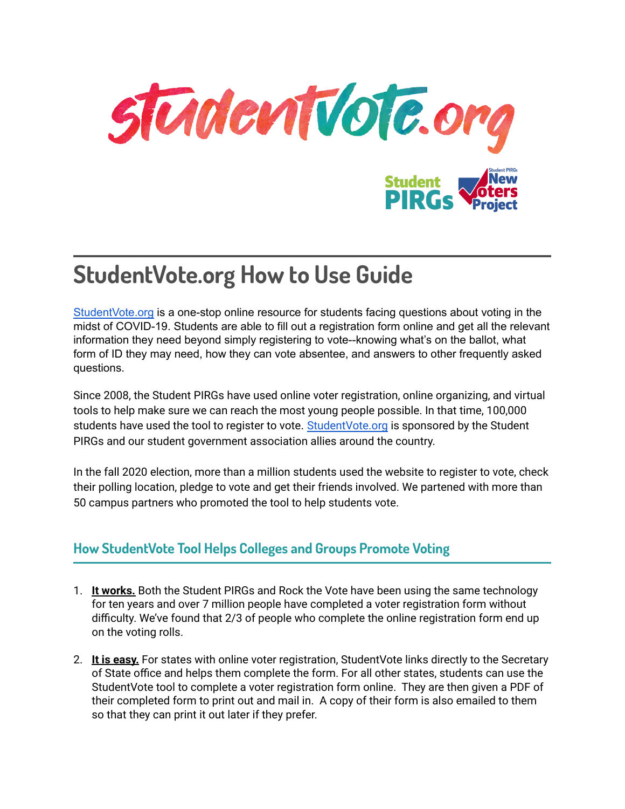

# **StudentVote.org How to Use Guide**

[StudentVote.org](http://www.studentvote.org) is a one-stop online resource for students facing questions about voting in the midst of COVID-19. Students are able to fill out a registration form online and get all the relevant information they need beyond simply registering to vote--knowing what's on the ballot, what form of ID they may need, how they can vote absentee, and answers to other frequently asked questions.

Since 2008, the Student PIRGs have used online voter registration, online organizing, and virtual tools to help make sure we can reach the most young people possible. In that time, 100,000 students have used the tool to register to vote. [StudentVote.org](http://www.studentvote.org) is sponsored by the Student PIRGs and our student government association allies around the country.

In the fall 2020 election, more than a million students used the website to register to vote, check their polling location, pledge to vote and get their friends involved. We partened with more than 50 campus partners who promoted the tool to help students vote.

# **How StudentVote Tool Helps Colleges and Groups Promote Voting**

- 1. **It works.** Both the Student PIRGs and Rock the Vote have been using the same technology for ten years and over 7 million people have completed a voter registration form without difficulty. We've found that 2/3 of people who complete the online registration form end up on the voting rolls.
- 2. **It is easy.** For states with online voter registration, StudentVote links directly to the Secretary of State office and helps them complete the form. For all other states, students can use the StudentVote tool to complete a voter registration form online. They are then given a PDF of their completed form to print out and mail in. A copy of their form is also emailed to them so that they can print it out later if they prefer.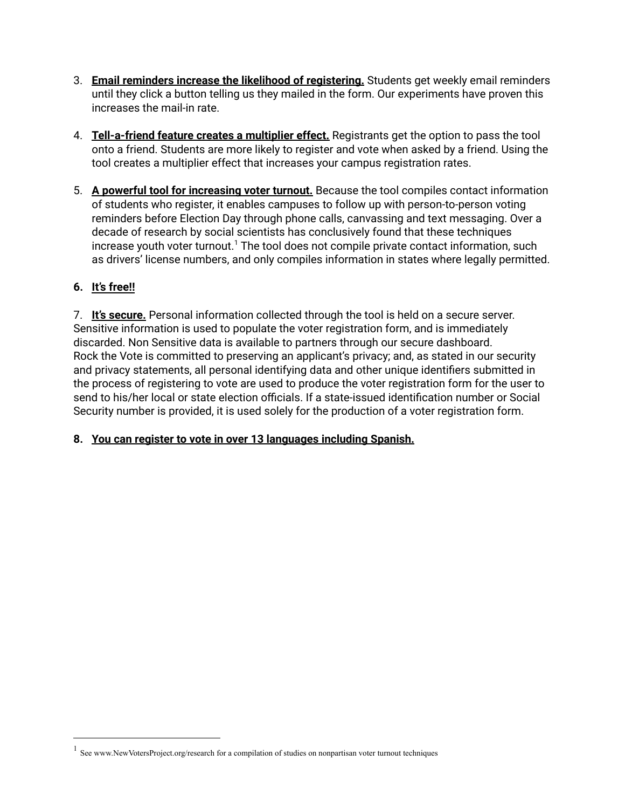- 3. **Email reminders increase the likelihood of registering.** Students get weekly email reminders until they click a button telling us they mailed in the form. Our experiments have proven this increases the mail-in rate.
- 4. **Tell-a-friend feature creates a multiplier effect.** Registrants get the option to pass the tool onto a friend. Students are more likely to register and vote when asked by a friend. Using the tool creates a multiplier effect that increases your campus registration rates.
- 5. **A powerful tool for increasing voter turnout.** Because the tool compiles contact information of students who register, it enables campuses to follow up with person-to-person voting reminders before Election Day through phone calls, canvassing and text messaging. Over a decade of research by social scientists has conclusively found that these techniques increase youth voter turnout.<sup>1</sup> The tool does not compile private contact information, such as drivers' license numbers, and only compiles information in states where legally permitted.

## **6. It's free!!**

7. **It's secure.** Personal information collected through the tool is held on a secure server. Sensitive information is used to populate the voter registration form, and is immediately discarded. Non Sensitive data is available to partners through our secure dashboard. Rock the Vote is committed to preserving an applicant's privacy; and, as stated in our security and privacy statements, all personal identifying data and other unique identifiers submitted in the process of registering to vote are used to produce the voter registration form for the user to send to his/her local or state election officials. If a state-issued identification number or Social Security number is provided, it is used solely for the production of a voter registration form.

### **8. You can register to vote in over 13 languages including Spanish.**

<sup>&</sup>lt;sup>1</sup> See www.NewVotersProject.org/research for a compilation of studies on nonpartisan voter turnout techniques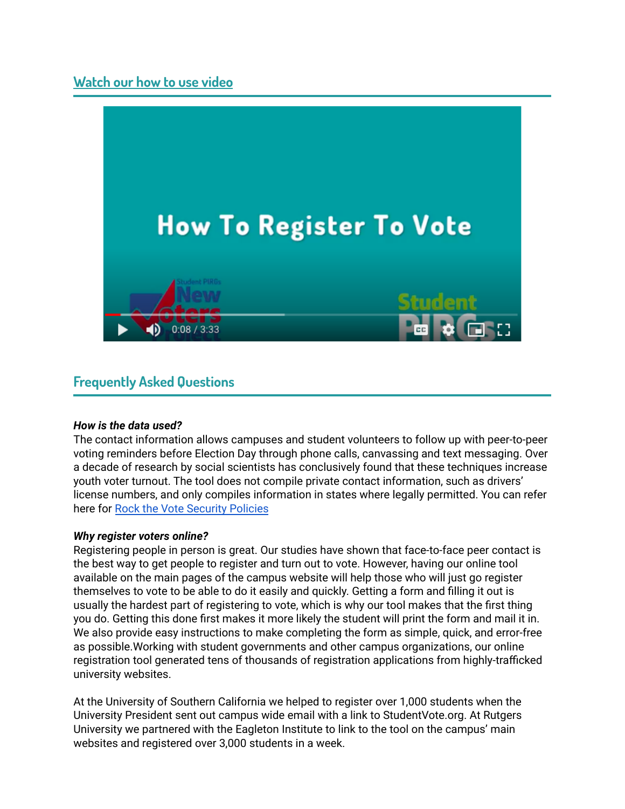## **[Watch](https://drive.google.com/file/d/12s4ZuuGh12omZNd_e2JaCl6qP_4Mz_Ln/view?usp=sharing) our how to use video**



## **Frequently Asked Questions**

#### *How is the data used?*

The contact information allows campuses and student volunteers to follow up with peer-to-peer voting reminders before Election Day through phone calls, canvassing and text messaging. Over a decade of research by social scientists has conclusively found that these techniques increase youth voter turnout. The tool does not compile private contact information, such as drivers' license numbers, and only compiles information in states where legally permitted. You can refer here for Rock the Vote [Security](https://www.rockthevote.org/privacy-policy/) Policies

#### *Why register voters online?*

Registering people in person is great. Our studies have shown that face-to-face peer contact is the best way to get people to register and turn out to vote. However, having our online tool available on the main pages of the campus website will help those who will just go register themselves to vote to be able to do it easily and quickly. Getting a form and filling it out is usually the hardest part of registering to vote, which is why our tool makes that the first thing you do. Getting this done first makes it more likely the student will print the form and mail it in. We also provide easy instructions to make completing the form as simple, quick, and error-free as possible.Working with student governments and other campus organizations, our online registration tool generated tens of thousands of registration applications from highly-trafficked university websites.

At the University of Southern California we helped to register over 1,000 students when the University President sent out campus wide email with a link to StudentVote.org. At Rutgers University we partnered with the Eagleton Institute to link to the tool on the campus' main websites and registered over 3,000 students in a week.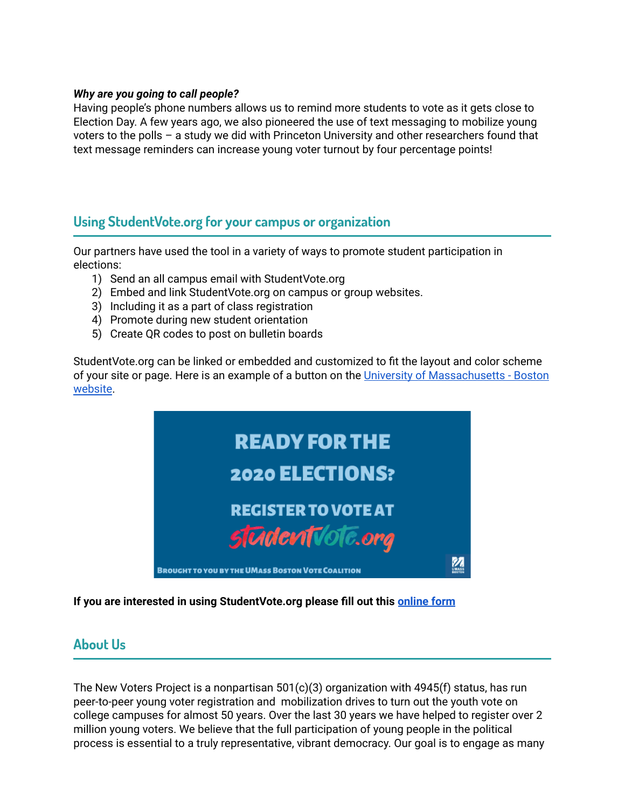#### *Why are you going to call people?*

Having people's phone numbers allows us to remind more students to vote as it gets close to Election Day. A few years ago, we also pioneered the use of text messaging to mobilize young voters to the polls – a study we did with Princeton University and other researchers found that text message reminders can increase young voter turnout by four percentage points!

## **Using StudentVote.org for your campus or organization**

Our partners have used the tool in a variety of ways to promote student participation in elections:

- 1) Send an all campus email with StudentVote.org
- 2) Embed and link StudentVote.org on campus or group websites.
- 3) Including it as a part of class registration
- 4) Promote during new student orientation
- 5) Create QR codes to post on bulletin boards

StudentVote.org can be linked or embedded and customized to fit the layout and color scheme of your site or page. Here is an example of a button on the University of [Massachusetts](https://www.umb.edu/life_on_campus/oslce/students/umbvote) - Boston [website](https://www.umb.edu/life_on_campus/oslce/students/umbvote).



**If you are interested in using StudentVote.org please fill out this [online](https://studentpirgs.org/forms-sp-get-our-online-voter-registration-tool/) form**

## **About Us**

The New Voters Project is a nonpartisan  $501(c)(3)$  organization with 4945(f) status, has run peer-to-peer young voter registration and mobilization drives to turn out the youth vote on college campuses for almost 50 years. Over the last 30 years we have helped to register over 2 million young voters. We believe that the full participation of young people in the political process is essential to a truly representative, vibrant democracy. Our goal is to engage as many